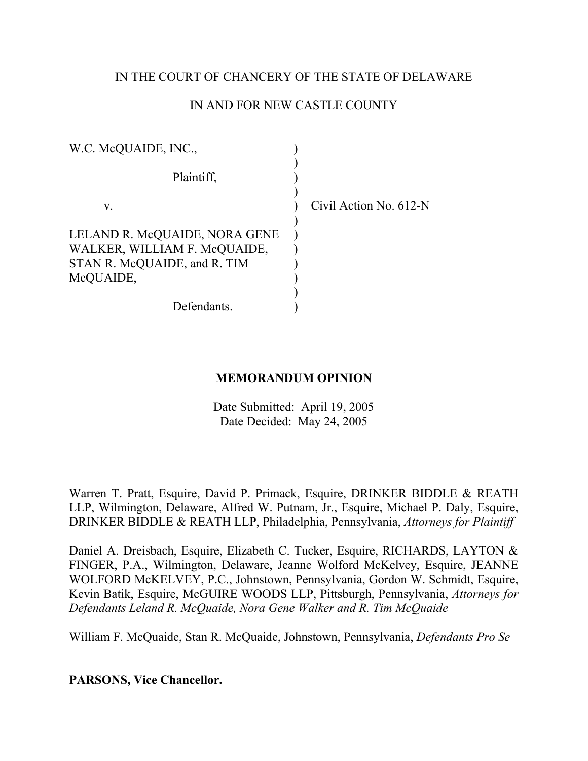# IN THE COURT OF CHANCERY OF THE STATE OF DELAWARE

# IN AND FOR NEW CASTLE COUNTY

| W.C. McQUAIDE, INC.,                                                                          |                        |
|-----------------------------------------------------------------------------------------------|------------------------|
| Plaintiff,                                                                                    |                        |
| V.                                                                                            | Civil Action No. 612-N |
| LELAND R. McQUAIDE, NORA GENE<br>WALKER, WILLIAM F. McQUAIDE,<br>STAN R. McQUAIDE, and R. TIM |                        |
| McQUAIDE,<br>Defendants.                                                                      |                        |

# **MEMORANDUM OPINION**

Date Submitted: April 19, 2005 Date Decided: May 24, 2005

Warren T. Pratt, Esquire, David P. Primack, Esquire, DRINKER BIDDLE & REATH LLP, Wilmington, Delaware, Alfred W. Putnam, Jr., Esquire, Michael P. Daly, Esquire, DRINKER BIDDLE & REATH LLP, Philadelphia, Pennsylvania, *Attorneys for Plaintiff*

Daniel A. Dreisbach, Esquire, Elizabeth C. Tucker, Esquire, RICHARDS, LAYTON & FINGER, P.A., Wilmington, Delaware, Jeanne Wolford McKelvey, Esquire, JEANNE WOLFORD McKELVEY, P.C., Johnstown, Pennsylvania, Gordon W. Schmidt, Esquire, Kevin Batik, Esquire, McGUIRE WOODS LLP, Pittsburgh, Pennsylvania, *Attorneys for Defendants Leland R. McQuaide, Nora Gene Walker and R. Tim McQuaide*

William F. McQuaide, Stan R. McQuaide, Johnstown, Pennsylvania, *Defendants Pro Se*

**PARSONS, Vice Chancellor.**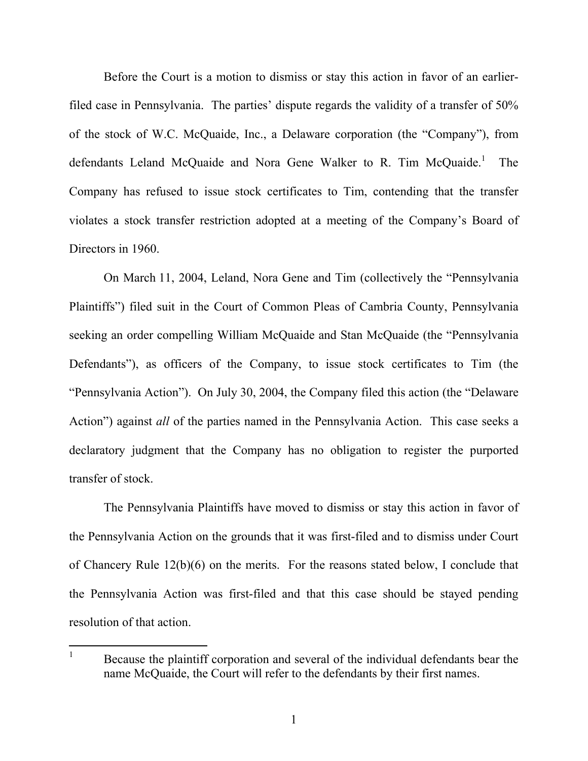Before the Court is a motion to dismiss or stay this action in favor of an earlierfiled case in Pennsylvania. The parties' dispute regards the validity of a transfer of 50% of the stock of W.C. McQuaide, Inc., a Delaware corporation (the "Company"), from defendants Leland McQuaide and Nora Gene Walker to R. Tim McQuaide.<sup>1</sup> The Company has refused to issue stock certificates to Tim, contending that the transfer violates a stock transfer restriction adopted at a meeting of the Company's Board of Directors in 1960.

On March 11, 2004, Leland, Nora Gene and Tim (collectively the "Pennsylvania Plaintiffs") filed suit in the Court of Common Pleas of Cambria County, Pennsylvania seeking an order compelling William McQuaide and Stan McQuaide (the "Pennsylvania Defendants"), as officers of the Company, to issue stock certificates to Tim (the "Pennsylvania Action"). On July 30, 2004, the Company filed this action (the "Delaware Action") against *all* of the parties named in the Pennsylvania Action. This case seeks a declaratory judgment that the Company has no obligation to register the purported transfer of stock.

The Pennsylvania Plaintiffs have moved to dismiss or stay this action in favor of the Pennsylvania Action on the grounds that it was first-filed and to dismiss under Court of Chancery Rule 12(b)(6) on the merits. For the reasons stated below, I conclude that the Pennsylvania Action was first-filed and that this case should be stayed pending resolution of that action.

<sup>1</sup> Because the plaintiff corporation and several of the individual defendants bear the name McQuaide, the Court will refer to the defendants by their first names.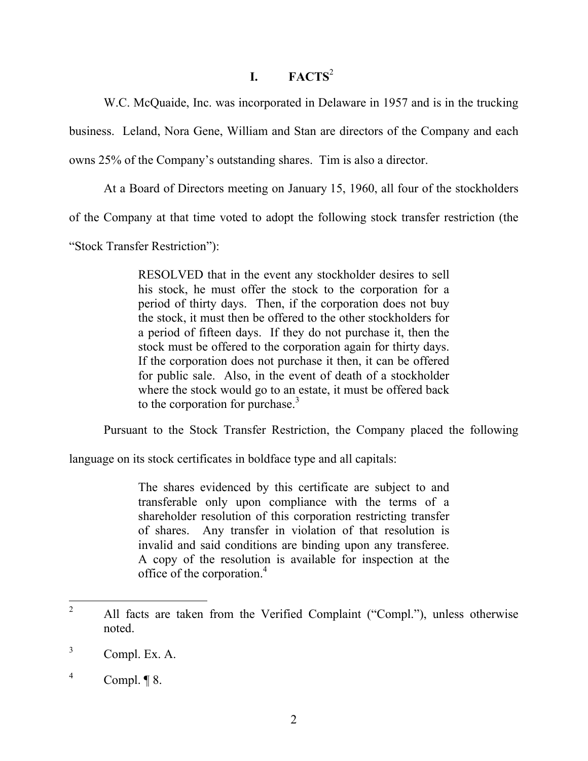# **I. FACTS**<sup>2</sup>

W.C. McQuaide, Inc. was incorporated in Delaware in 1957 and is in the trucking

business. Leland, Nora Gene, William and Stan are directors of the Company and each

owns 25% of the Company's outstanding shares. Tim is also a director.

At a Board of Directors meeting on January 15, 1960, all four of the stockholders

of the Company at that time voted to adopt the following stock transfer restriction (the

"Stock Transfer Restriction"):

RESOLVED that in the event any stockholder desires to sell his stock, he must offer the stock to the corporation for a period of thirty days. Then, if the corporation does not buy the stock, it must then be offered to the other stockholders for a period of fifteen days. If they do not purchase it, then the stock must be offered to the corporation again for thirty days. If the corporation does not purchase it then, it can be offered for public sale. Also, in the event of death of a stockholder where the stock would go to an estate, it must be offered back to the corporation for purchase. $3$ 

Pursuant to the Stock Transfer Restriction, the Company placed the following

language on its stock certificates in boldface type and all capitals:

The shares evidenced by this certificate are subject to and transferable only upon compliance with the terms of a shareholder resolution of this corporation restricting transfer of shares. Any transfer in violation of that resolution is invalid and said conditions are binding upon any transferee. A copy of the resolution is available for inspection at the office of the corporation.4

<sup>2</sup> All facts are taken from the Verified Complaint ("Compl."), unless otherwise noted.

<sup>3</sup> Compl. Ex. A.

<sup>4</sup> Compl. ¶ 8.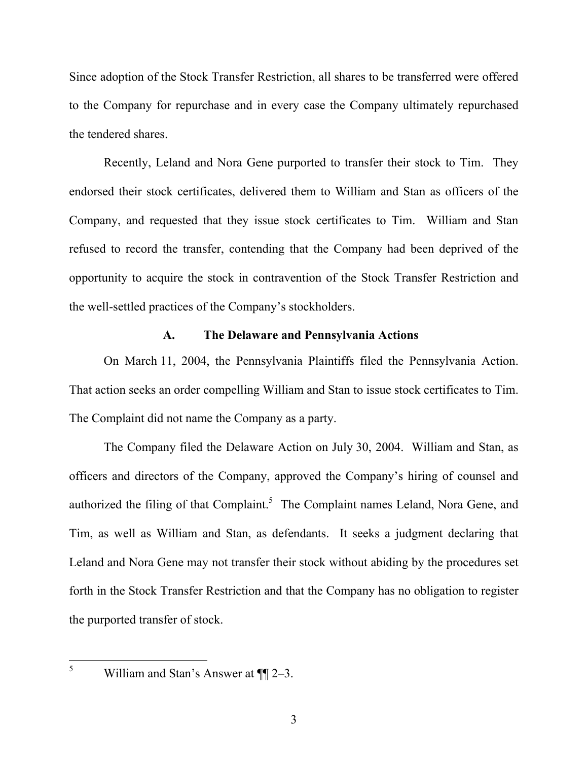Since adoption of the Stock Transfer Restriction, all shares to be transferred were offered to the Company for repurchase and in every case the Company ultimately repurchased the tendered shares.

Recently, Leland and Nora Gene purported to transfer their stock to Tim. They endorsed their stock certificates, delivered them to William and Stan as officers of the Company, and requested that they issue stock certificates to Tim. William and Stan refused to record the transfer, contending that the Company had been deprived of the opportunity to acquire the stock in contravention of the Stock Transfer Restriction and the well-settled practices of the Company's stockholders.

# **A. The Delaware and Pennsylvania Actions**

On March 11, 2004, the Pennsylvania Plaintiffs filed the Pennsylvania Action. That action seeks an order compelling William and Stan to issue stock certificates to Tim. The Complaint did not name the Company as a party.

The Company filed the Delaware Action on July 30, 2004. William and Stan, as officers and directors of the Company, approved the Company's hiring of counsel and authorized the filing of that Complaint.<sup>5</sup> The Complaint names Leland, Nora Gene, and Tim, as well as William and Stan, as defendants. It seeks a judgment declaring that Leland and Nora Gene may not transfer their stock without abiding by the procedures set forth in the Stock Transfer Restriction and that the Company has no obligation to register the purported transfer of stock.

William and Stan's Answer at  $\P$ [2–3.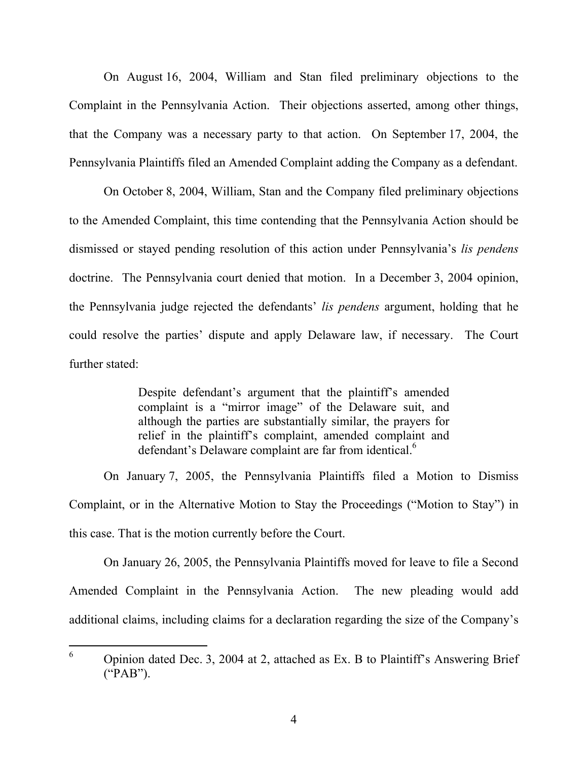On August 16, 2004, William and Stan filed preliminary objections to the Complaint in the Pennsylvania Action. Their objections asserted, among other things, that the Company was a necessary party to that action. On September 17, 2004, the Pennsylvania Plaintiffs filed an Amended Complaint adding the Company as a defendant.

On October 8, 2004, William, Stan and the Company filed preliminary objections to the Amended Complaint, this time contending that the Pennsylvania Action should be dismissed or stayed pending resolution of this action under Pennsylvania's *lis pendens* doctrine. The Pennsylvania court denied that motion. In a December 3, 2004 opinion, the Pennsylvania judge rejected the defendants' *lis pendens* argument, holding that he could resolve the parties' dispute and apply Delaware law, if necessary. The Court further stated:

> Despite defendant's argument that the plaintiff's amended complaint is a "mirror image" of the Delaware suit, and although the parties are substantially similar, the prayers for relief in the plaintiff's complaint, amended complaint and defendant's Delaware complaint are far from identical.<sup>6</sup>

 On January 7, 2005, the Pennsylvania Plaintiffs filed a Motion to Dismiss Complaint, or in the Alternative Motion to Stay the Proceedings ("Motion to Stay") in this case. That is the motion currently before the Court.

 On January 26, 2005, the Pennsylvania Plaintiffs moved for leave to file a Second Amended Complaint in the Pennsylvania Action. The new pleading would add additional claims, including claims for a declaration regarding the size of the Company's

<sup>6</sup> Opinion dated Dec. 3, 2004 at 2, attached as Ex. B to Plaintiff's Answering Brief ("PAB").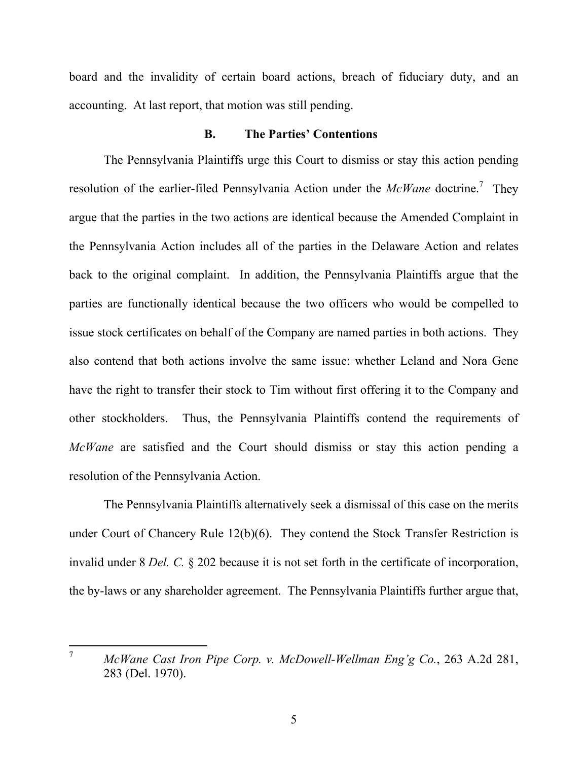board and the invalidity of certain board actions, breach of fiduciary duty, and an accounting. At last report, that motion was still pending.

### **B. The Parties' Contentions**

The Pennsylvania Plaintiffs urge this Court to dismiss or stay this action pending resolution of the earlier-filed Pennsylvania Action under the *McWane* doctrine.<sup>7</sup> They argue that the parties in the two actions are identical because the Amended Complaint in the Pennsylvania Action includes all of the parties in the Delaware Action and relates back to the original complaint. In addition, the Pennsylvania Plaintiffs argue that the parties are functionally identical because the two officers who would be compelled to issue stock certificates on behalf of the Company are named parties in both actions. They also contend that both actions involve the same issue: whether Leland and Nora Gene have the right to transfer their stock to Tim without first offering it to the Company and other stockholders. Thus, the Pennsylvania Plaintiffs contend the requirements of *McWane* are satisfied and the Court should dismiss or stay this action pending a resolution of the Pennsylvania Action.

The Pennsylvania Plaintiffs alternatively seek a dismissal of this case on the merits under Court of Chancery Rule 12(b)(6). They contend the Stock Transfer Restriction is invalid under 8 *Del. C.* § 202 because it is not set forth in the certificate of incorporation, the by-laws or any shareholder agreement. The Pennsylvania Plaintiffs further argue that,

 $\overline{7}$ <sup>7</sup> *McWane Cast Iron Pipe Corp. v. McDowell-Wellman Eng'g Co.*, 263 A.2d 281, 283 (Del. 1970).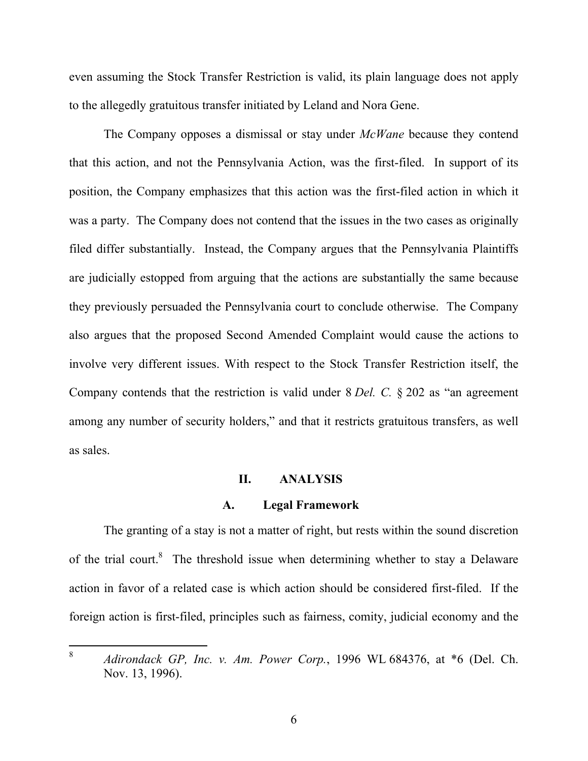even assuming the Stock Transfer Restriction is valid, its plain language does not apply to the allegedly gratuitous transfer initiated by Leland and Nora Gene.

The Company opposes a dismissal or stay under *McWane* because they contend that this action, and not the Pennsylvania Action, was the first-filed. In support of its position, the Company emphasizes that this action was the first-filed action in which it was a party. The Company does not contend that the issues in the two cases as originally filed differ substantially. Instead, the Company argues that the Pennsylvania Plaintiffs are judicially estopped from arguing that the actions are substantially the same because they previously persuaded the Pennsylvania court to conclude otherwise. The Company also argues that the proposed Second Amended Complaint would cause the actions to involve very different issues. With respect to the Stock Transfer Restriction itself, the Company contends that the restriction is valid under 8 *Del. C.* § 202 as "an agreement among any number of security holders," and that it restricts gratuitous transfers, as well as sales.

### **II. ANALYSIS**

#### **A. Legal Framework**

The granting of a stay is not a matter of right, but rests within the sound discretion of the trial court.<sup>8</sup> The threshold issue when determining whether to stay a Delaware action in favor of a related case is which action should be considered first-filed. If the foreign action is first-filed, principles such as fairness, comity, judicial economy and the

 $8\,$ <sup>8</sup> *Adirondack GP, Inc. v. Am. Power Corp.*, 1996 WL 684376, at \*6 (Del. Ch. Nov. 13, 1996).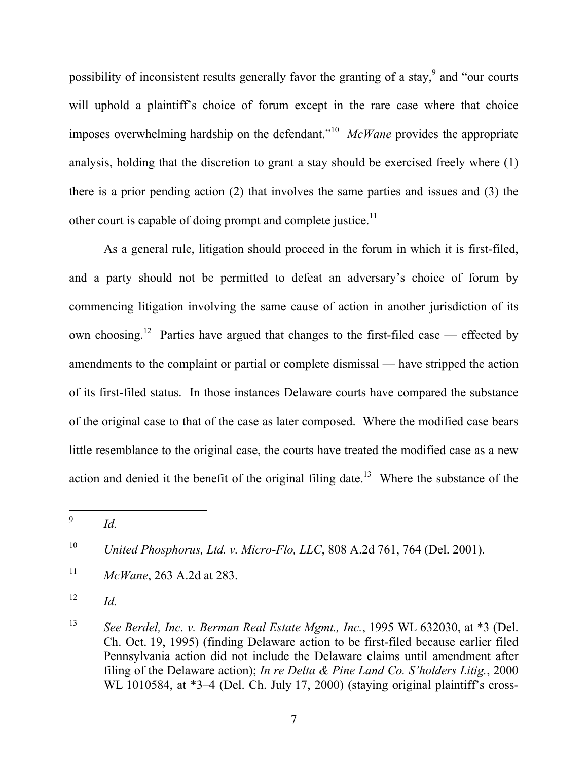possibility of inconsistent results generally favor the granting of a stay,  $9$  and "our courts" will uphold a plaintiff's choice of forum except in the rare case where that choice imposes overwhelming hardship on the defendant."10 *McWane* provides the appropriate analysis, holding that the discretion to grant a stay should be exercised freely where (1) there is a prior pending action (2) that involves the same parties and issues and (3) the other court is capable of doing prompt and complete justice.<sup>11</sup>

As a general rule, litigation should proceed in the forum in which it is first-filed, and a party should not be permitted to defeat an adversary's choice of forum by commencing litigation involving the same cause of action in another jurisdiction of its own choosing.<sup>12</sup> Parties have argued that changes to the first-filed case — effected by amendments to the complaint or partial or complete dismissal — have stripped the action of its first-filed status. In those instances Delaware courts have compared the substance of the original case to that of the case as later composed. Where the modified case bears little resemblance to the original case, the courts have treated the modified case as a new action and denied it the benefit of the original filing date.<sup>13</sup> Where the substance of the

 $\overline{9}$ <sup>9</sup> *Id.*

<sup>10</sup> *United Phosphorus, Ltd. v. Micro-Flo, LLC*, 808 A.2d 761, 764 (Del. 2001).

<sup>11</sup> *McWane*, 263 A.2d at 283.

 $12$  *Id.* 

<sup>13</sup> *See Berdel, Inc. v. Berman Real Estate Mgmt., Inc.*, 1995 WL 632030, at \*3 (Del. Ch. Oct. 19, 1995) (finding Delaware action to be first-filed because earlier filed Pennsylvania action did not include the Delaware claims until amendment after filing of the Delaware action); *In re Delta & Pine Land Co. S'holders Litig.*, 2000 WL 1010584, at \*3–4 (Del. Ch. July 17, 2000) (staying original plaintiff's cross-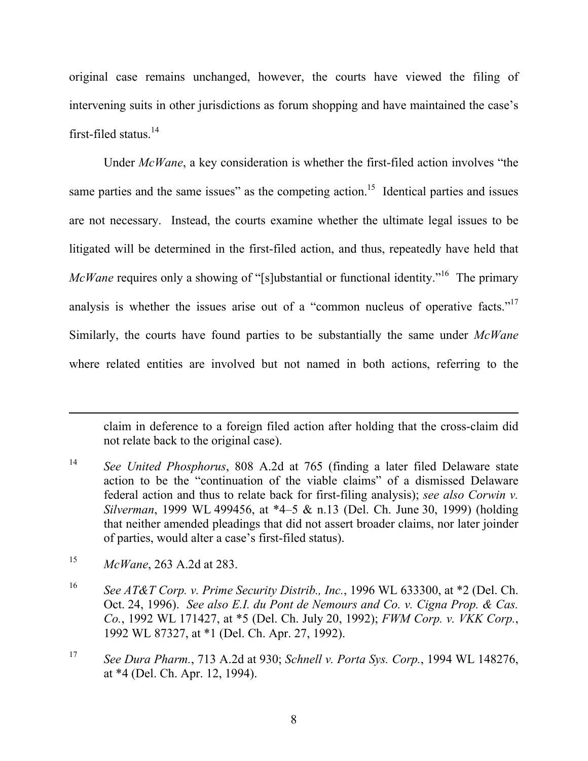original case remains unchanged, however, the courts have viewed the filing of intervening suits in other jurisdictions as forum shopping and have maintained the case's first-filed status. $14$ 

Under *McWane*, a key consideration is whether the first-filed action involves "the same parties and the same issues" as the competing action.<sup>15</sup> Identical parties and issues are not necessary. Instead, the courts examine whether the ultimate legal issues to be litigated will be determined in the first-filed action, and thus, repeatedly have held that *McWane* requires only a showing of "[s]ubstantial or functional identity."<sup>16</sup> The primary analysis is whether the issues arise out of a "common nucleus of operative facts."<sup>17</sup> Similarly, the courts have found parties to be substantially the same under *McWane* where related entities are involved but not named in both actions, referring to the

claim in deference to a foreign filed action after holding that the cross-claim did not relate back to the original case).

 $\overline{a}$ 

<sup>17</sup> *See Dura Pharm.*, 713 A.2d at 930; *Schnell v. Porta Sys. Corp.*, 1994 WL 148276, at \*4 (Del. Ch. Apr. 12, 1994).

<sup>14</sup> *See United Phosphorus*, 808 A.2d at 765 (finding a later filed Delaware state action to be the "continuation of the viable claims" of a dismissed Delaware federal action and thus to relate back for first-filing analysis); *see also Corwin v. Silverman*, 1999 WL 499456, at \*4–5 & n.13 (Del. Ch. June 30, 1999) (holding that neither amended pleadings that did not assert broader claims, nor later joinder of parties, would alter a case's first-filed status).

<sup>15</sup> *McWane*, 263 A.2d at 283.

<sup>16</sup> *See AT&T Corp. v. Prime Security Distrib., Inc.*, 1996 WL 633300, at \*2 (Del. Ch. Oct. 24, 1996). *See also E.I. du Pont de Nemours and Co. v. Cigna Prop. & Cas. Co.*, 1992 WL 171427, at \*5 (Del. Ch. July 20, 1992); *FWM Corp. v. VKK Corp.*, 1992 WL 87327, at \*1 (Del. Ch. Apr. 27, 1992).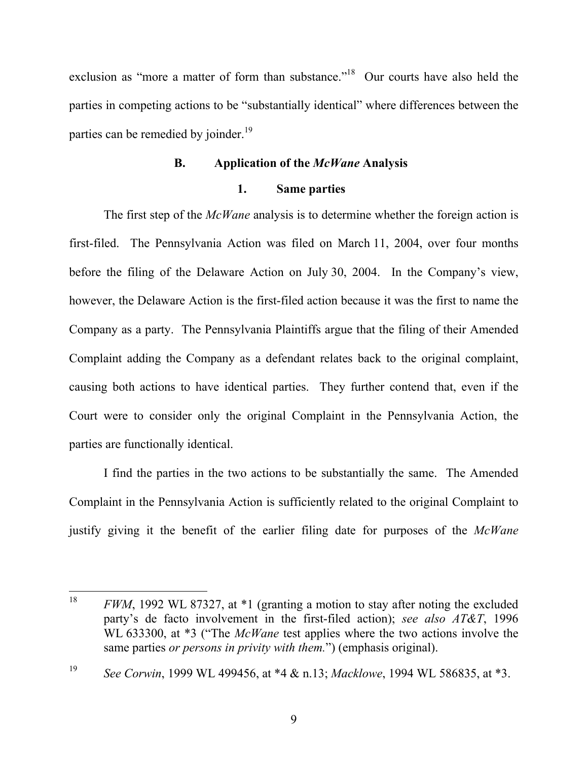exclusion as "more a matter of form than substance."<sup>18</sup> Our courts have also held the parties in competing actions to be "substantially identical" where differences between the parties can be remedied by joinder.<sup>19</sup>

### **B. Application of the** *McWane* **Analysis**

### **1. Same parties**

The first step of the *McWane* analysis is to determine whether the foreign action is first-filed. The Pennsylvania Action was filed on March 11, 2004, over four months before the filing of the Delaware Action on July 30, 2004. In the Company's view, however, the Delaware Action is the first-filed action because it was the first to name the Company as a party. The Pennsylvania Plaintiffs argue that the filing of their Amended Complaint adding the Company as a defendant relates back to the original complaint, causing both actions to have identical parties. They further contend that, even if the Court were to consider only the original Complaint in the Pennsylvania Action, the parties are functionally identical.

I find the parties in the two actions to be substantially the same. The Amended Complaint in the Pennsylvania Action is sufficiently related to the original Complaint to justify giving it the benefit of the earlier filing date for purposes of the *McWane*

<sup>18</sup> <sup>18</sup> *FWM*, 1992 WL 87327, at \*1 (granting a motion to stay after noting the excluded party's de facto involvement in the first-filed action); *see also AT&T*, 1996 WL 633300, at \*3 ("The *McWane* test applies where the two actions involve the same parties *or persons in privity with them.*") (emphasis original).

<sup>19</sup> *See Corwin*, 1999 WL 499456, at \*4 & n.13; *Macklowe*, 1994 WL 586835, at \*3.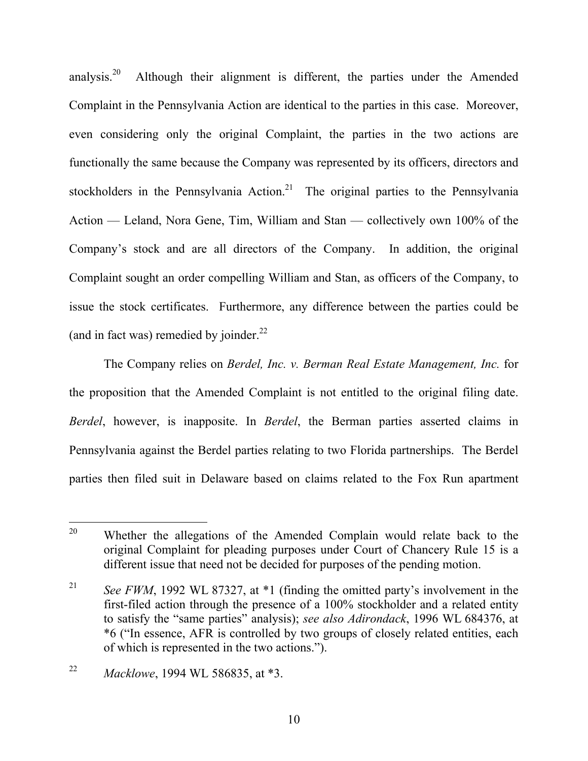analysis.<sup>20</sup> Although their alignment is different, the parties under the Amended Complaint in the Pennsylvania Action are identical to the parties in this case. Moreover, even considering only the original Complaint, the parties in the two actions are functionally the same because the Company was represented by its officers, directors and stockholders in the Pennsylvania Action.<sup>21</sup> The original parties to the Pennsylvania Action — Leland, Nora Gene, Tim, William and Stan — collectively own 100% of the Company's stock and are all directors of the Company. In addition, the original Complaint sought an order compelling William and Stan, as officers of the Company, to issue the stock certificates. Furthermore, any difference between the parties could be (and in fact was) remedied by joinder. $22$ 

The Company relies on *Berdel, Inc. v. Berman Real Estate Management, Inc.* for the proposition that the Amended Complaint is not entitled to the original filing date. *Berdel*, however, is inapposite. In *Berdel*, the Berman parties asserted claims in Pennsylvania against the Berdel parties relating to two Florida partnerships. The Berdel parties then filed suit in Delaware based on claims related to the Fox Run apartment

<sup>20</sup> Whether the allegations of the Amended Complain would relate back to the original Complaint for pleading purposes under Court of Chancery Rule 15 is a different issue that need not be decided for purposes of the pending motion.

<sup>&</sup>lt;sup>21</sup> *See FWM*, 1992 WL 87327, at \*1 (finding the omitted party's involvement in the first-filed action through the presence of a 100% stockholder and a related entity to satisfy the "same parties" analysis); *see also Adirondack*, 1996 WL 684376, at \*6 ("In essence, AFR is controlled by two groups of closely related entities, each of which is represented in the two actions.").

<sup>22</sup> *Macklowe*, 1994 WL 586835, at \*3.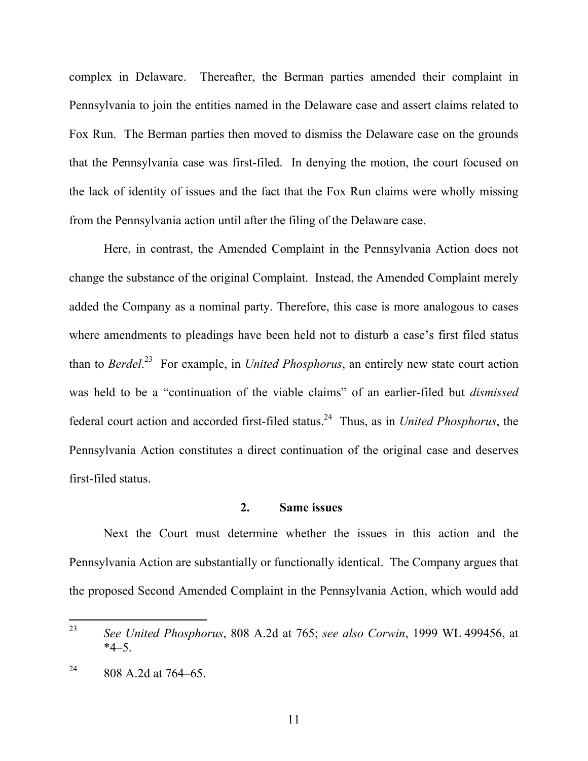complex in Delaware. Thereafter, the Berman parties amended their complaint in Pennsylvania to join the entities named in the Delaware case and assert claims related to Fox Run. The Berman parties then moved to dismiss the Delaware case on the grounds that the Pennsylvania case was first-filed. In denying the motion, the court focused on the lack of identity of issues and the fact that the Fox Run claims were wholly missing from the Pennsylvania action until after the filing of the Delaware case.

Here, in contrast, the Amended Complaint in the Pennsylvania Action does not change the substance of the original Complaint. Instead, the Amended Complaint merely added the Company as a nominal party. Therefore, this case is more analogous to cases where amendments to pleadings have been held not to disturb a case's first filed status than to *Berdel*. 23 For example, in *United Phosphorus*, an entirely new state court action was held to be a "continuation of the viable claims" of an earlier-filed but *dismissed* federal court action and accorded first-filed status.24 Thus, as in *United Phosphorus*, the Pennsylvania Action constitutes a direct continuation of the original case and deserves first-filed status.

### **2. Same issues**

Next the Court must determine whether the issues in this action and the Pennsylvania Action are substantially or functionally identical. The Company argues that the proposed Second Amended Complaint in the Pennsylvania Action, which would add

<sup>23</sup> <sup>23</sup> *See United Phosphorus*, 808 A.2d at 765; *see also Corwin*, 1999 WL 499456, at  $*4–5.$ 

 $^{24}$  808 A.2d at 764–65.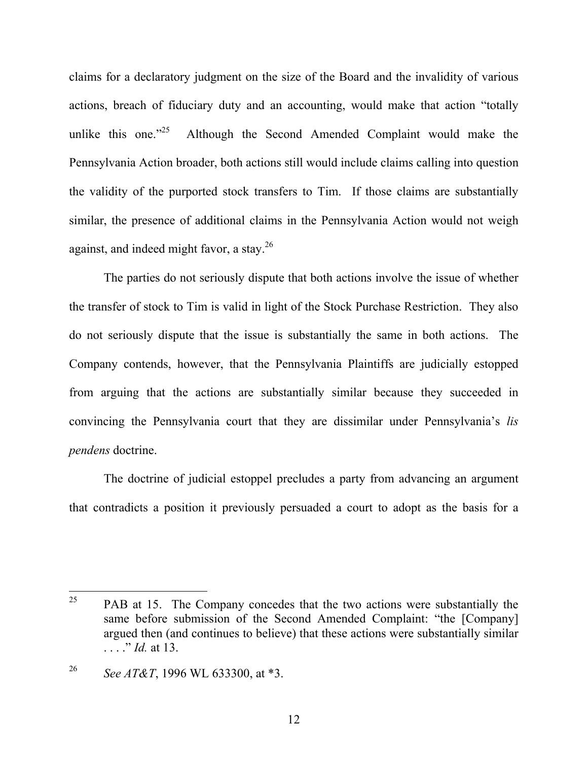claims for a declaratory judgment on the size of the Board and the invalidity of various actions, breach of fiduciary duty and an accounting, would make that action "totally unlike this one. $125$  Although the Second Amended Complaint would make the Pennsylvania Action broader, both actions still would include claims calling into question the validity of the purported stock transfers to Tim. If those claims are substantially similar, the presence of additional claims in the Pennsylvania Action would not weigh against, and indeed might favor, a stay.26

The parties do not seriously dispute that both actions involve the issue of whether the transfer of stock to Tim is valid in light of the Stock Purchase Restriction. They also do not seriously dispute that the issue is substantially the same in both actions. The Company contends, however, that the Pennsylvania Plaintiffs are judicially estopped from arguing that the actions are substantially similar because they succeeded in convincing the Pennsylvania court that they are dissimilar under Pennsylvania's *lis pendens* doctrine.

The doctrine of judicial estoppel precludes a party from advancing an argument that contradicts a position it previously persuaded a court to adopt as the basis for a

<sup>25</sup> PAB at 15. The Company concedes that the two actions were substantially the same before submission of the Second Amended Complaint: "the [Company] argued then (and continues to believe) that these actions were substantially similar . . . . *" Id.* at 13.

<sup>26</sup> *See AT&T*, 1996 WL 633300, at \*3.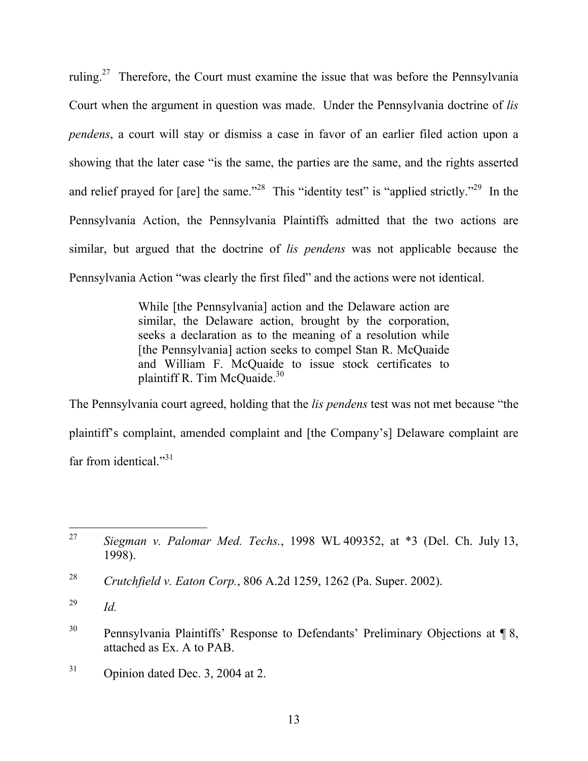ruling.<sup>27</sup> Therefore, the Court must examine the issue that was before the Pennsylvania Court when the argument in question was made. Under the Pennsylvania doctrine of *lis pendens*, a court will stay or dismiss a case in favor of an earlier filed action upon a showing that the later case "is the same, the parties are the same, and the rights asserted and relief prayed for  $[are]$  the same."<sup>28</sup> This "identity test" is "applied strictly."<sup>29</sup> In the Pennsylvania Action, the Pennsylvania Plaintiffs admitted that the two actions are similar, but argued that the doctrine of *lis pendens* was not applicable because the Pennsylvania Action "was clearly the first filed" and the actions were not identical.

> While [the Pennsylvania] action and the Delaware action are similar, the Delaware action, brought by the corporation, seeks a declaration as to the meaning of a resolution while [the Pennsylvania] action seeks to compel Stan R. McQuaide and William F. McQuaide to issue stock certificates to plaintiff R. Tim McQuaide.<sup>30</sup>

The Pennsylvania court agreed, holding that the *lis pendens* test was not met because "the plaintiff's complaint, amended complaint and [the Company's] Delaware complaint are far from identical. $^{31}$ 

 $31$  Opinion dated Dec. 3, 2004 at 2.

<sup>27</sup> <sup>27</sup> *Siegman v. Palomar Med. Techs.*, 1998 WL 409352, at \*3 (Del. Ch. July 13, 1998).

<sup>28</sup> *Crutchfield v. Eaton Corp.*, 806 A.2d 1259, 1262 (Pa. Super. 2002).

<sup>29</sup> *Id.*

<sup>&</sup>lt;sup>30</sup> Pennsylvania Plaintiffs' Response to Defendants' Preliminary Objections at ¶ 8, attached as Ex. A to PAB.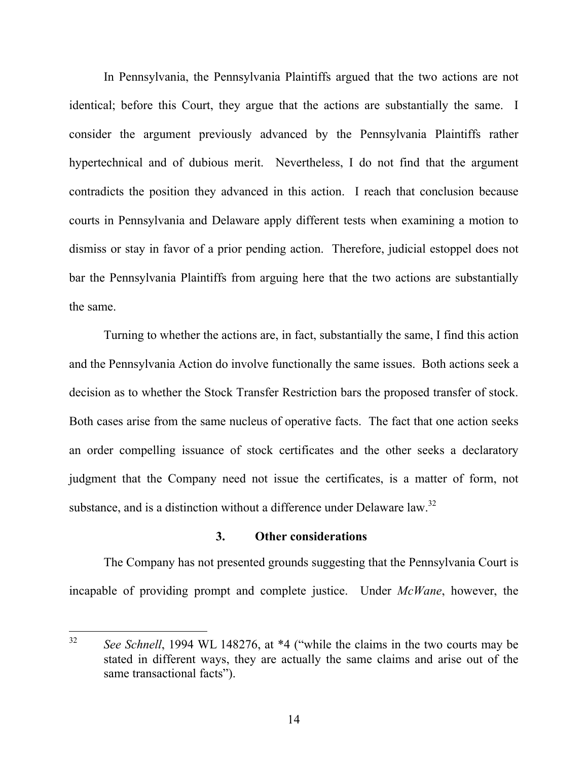In Pennsylvania, the Pennsylvania Plaintiffs argued that the two actions are not identical; before this Court, they argue that the actions are substantially the same. I consider the argument previously advanced by the Pennsylvania Plaintiffs rather hypertechnical and of dubious merit. Nevertheless, I do not find that the argument contradicts the position they advanced in this action. I reach that conclusion because courts in Pennsylvania and Delaware apply different tests when examining a motion to dismiss or stay in favor of a prior pending action. Therefore, judicial estoppel does not bar the Pennsylvania Plaintiffs from arguing here that the two actions are substantially the same.

 Turning to whether the actions are, in fact, substantially the same, I find this action and the Pennsylvania Action do involve functionally the same issues. Both actions seek a decision as to whether the Stock Transfer Restriction bars the proposed transfer of stock. Both cases arise from the same nucleus of operative facts. The fact that one action seeks an order compelling issuance of stock certificates and the other seeks a declaratory judgment that the Company need not issue the certificates, is a matter of form, not substance, and is a distinction without a difference under Delaware law.<sup>32</sup>

### **3. Other considerations**

 The Company has not presented grounds suggesting that the Pennsylvania Court is incapable of providing prompt and complete justice. Under *McWane*, however, the

<sup>32</sup> See Schnell, 1994 WL 148276, at \*4 ("while the claims in the two courts may be stated in different ways, they are actually the same claims and arise out of the same transactional facts").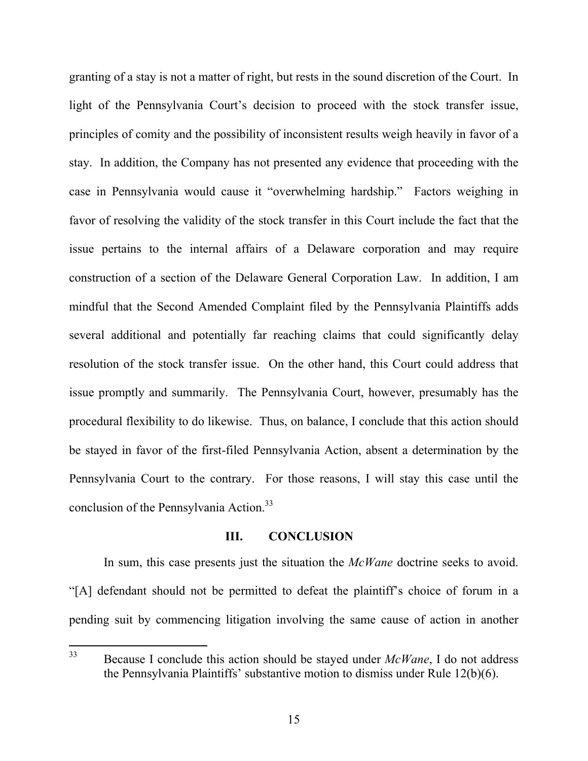granting of a stay is not a matter of right, but rests in the sound discretion of the Court. In light of the Pennsylvania Court's decision to proceed with the stock transfer issue, principles of comity and the possibility of inconsistent results weigh heavily in favor of a stay. In addition, the Company has not presented any evidence that proceeding with the case in Pennsylvania would cause it "overwhelming hardship." Factors weighing in favor of resolving the validity of the stock transfer in this Court include the fact that the issue pertains to the internal affairs of a Delaware corporation and may require construction of a section of the Delaware General Corporation Law. In addition, I am mindful that the Second Amended Complaint filed by the Pennsylvania Plaintiffs adds several additional and potentially far reaching claims that could significantly delay resolution of the stock transfer issue. On the other hand, this Court could address that issue promptly and summarily. The Pennsylvania Court, however, presumably has the procedural flexibility to do likewise. Thus, on balance, I conclude that this action should be stayed in favor of the first-filed Pennsylvania Action, absent a determination by the Pennsylvania Court to the contrary. For those reasons, I will stay this case until the conclusion of the Pennsylvania Action.<sup>33</sup>

### **III. CONCLUSION**

In sum, this case presents just the situation the *McWane* doctrine seeks to avoid. "[A] defendant should not be permitted to defeat the plaintiff's choice of forum in a pending suit by commencing litigation involving the same cause of action in another

<sup>33</sup> 33 Because I conclude this action should be stayed under *McWane*, I do not address the Pennsylvania Plaintiffs' substantive motion to dismiss under Rule 12(b)(6).